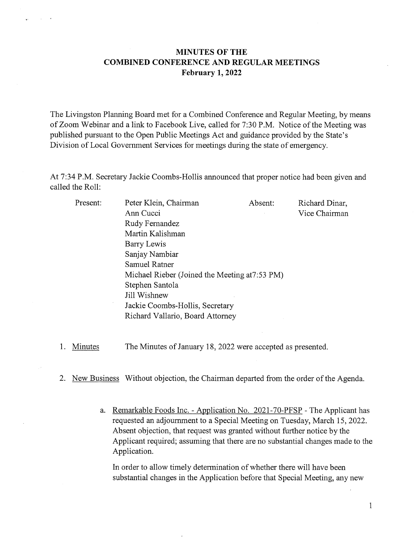## MINUTES OF THE COMBINED CONFERENCE AND REGULAR MEETINGS February 1, 2022

The Livingston Planning Board met for a Combined Conference and Regular Meeting, by means of Zoom Webinar and <sup>a</sup> link to Facebook Live, called for 7:30 P.M. Notice of the Meeting was published pursuant to the Open Public Meetings Act and guidance provided by the State's Division of Local Government Services for meetings during the state of emergency.

At 7:34 P.M. Secretary Jackie Coombs-Hollis announced that proper notice had been given and called the Roll:

| Present: | Peter Klein, Chairman                          | Absent: | Richard Dinar, |
|----------|------------------------------------------------|---------|----------------|
|          | Ann Cucci                                      |         | Vice Chairman  |
|          | Rudy Fernandez                                 |         |                |
|          | Martin Kalishman                               |         |                |
|          | Barry Lewis                                    |         |                |
|          | Sanjay Nambiar                                 |         |                |
|          | Samuel Ratner                                  |         |                |
|          | Michael Rieber (Joined the Meeting at 7:53 PM) |         |                |
|          | Stephen Santola                                |         |                |
|          | Jill Wishnew                                   |         |                |
|          | Jackie Coombs-Hollis, Secretary                |         |                |
|          | Richard Vallario, Board Attorney               |         |                |
|          |                                                |         |                |

1. Minutes The Minutes of January 18, 2022 were accepted as presented.

2. New Business Without objection, the Chairman departed from the order of the Agenda.

a. Remarkable Foods Inc. - Application No. 2021-70-PFSP - The Applicant has requested an adjournment to a Special Meeting on Tuesday, March 15, 2022. Absent objection, that request was granted without further notice by the Applicant required; assuming that there are no substantial changes made to the Application.

In order to allow timely determination of whether there will have been substantial changes in the Application before that Special Meeting, any new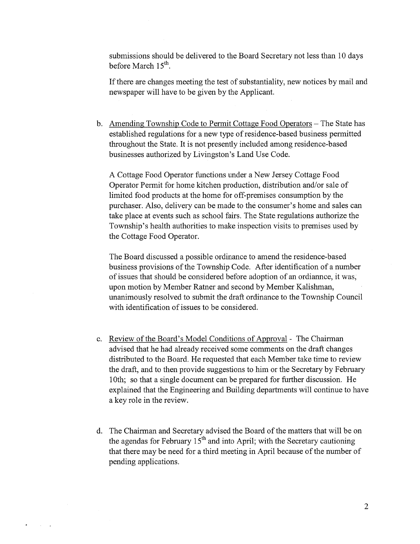submissions should be delivered to the Board Secretary not less than 10 days before March  $15<sup>th</sup>$ .

If there are changes meeting the test of substantiality, new notices by mail and newspaper will have to be given by the Applicant.

b. Amending Township Code to Permit Cottage Food Operators - The State has established regulations for <sup>a</sup> new type of residence-based business permitted throughout the State. It is not presently included among residence-based businesses authorized by Livingston's Land Use Code.

A Cottage Food Operator functions under <sup>a</sup> New Jersey Cottage Food Operator Permit for home kitchen production, distribution and/or sale of limited food products at the home for off-premises consumption by the purchaser. Also, delivery can be made to the consumer's home and sales can take place at events such as school fairs. The State regulations authorize the Township's health authorities to make inspection visits to premises used by the Cottage Food Operator.

The Board discussed <sup>a</sup> possible ordinance to amend the residence-based business provisions of the Township Code. After identification of <sup>a</sup> number of issues that should be considered before adoption of an ordiannce, it was, upon motion by Member Ratner and second by Member Kalishman, unanimously resolved to submit the draft ordinance to the Township Council with identification of issues to be considered.

- c. Review of the Board's Model Conditions of Approval The Chairman advised that he had already received some comments on the draft changes distributed to the Board. He requested that each Member take time to review the draft, and to then provide suggestions to him or the Secretary by February 10th; so that <sup>a</sup> single document can be prepared for further discussion. He explained that the Engineering and Building departments will continue to have <sup>a</sup> key role in the review.
- d. The Chairman and Secretary advised the Board of the matters that will be on the agendas for February  $15<sup>th</sup>$  and into April; with the Secretary cautioning that there may be need for <sup>a</sup> third meeting in April because of the number of pending applications.

 $\sim 10^{-10}$  .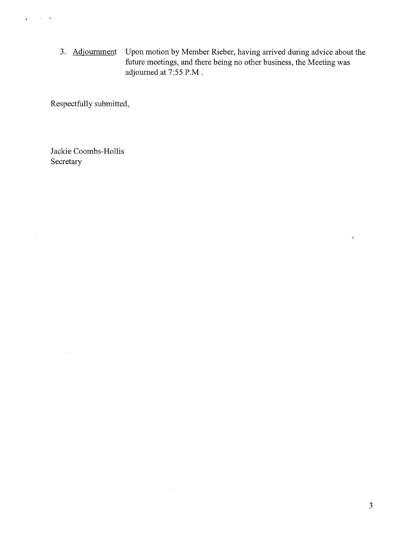3. Adjournment Upon motion by Member Rieber, having arrived during advice about the future meetings, and there being no other business, the Meeting was adjourned at 7:55 P.M.

 $\bar{z}$ 

Respectfully submitted,

 $\bar{z}$  $\ddot{\phantom{a}}$ 

 $\alpha$ 

Jackie Coombs-Hollis Secretary

 $\hat{\delta}$